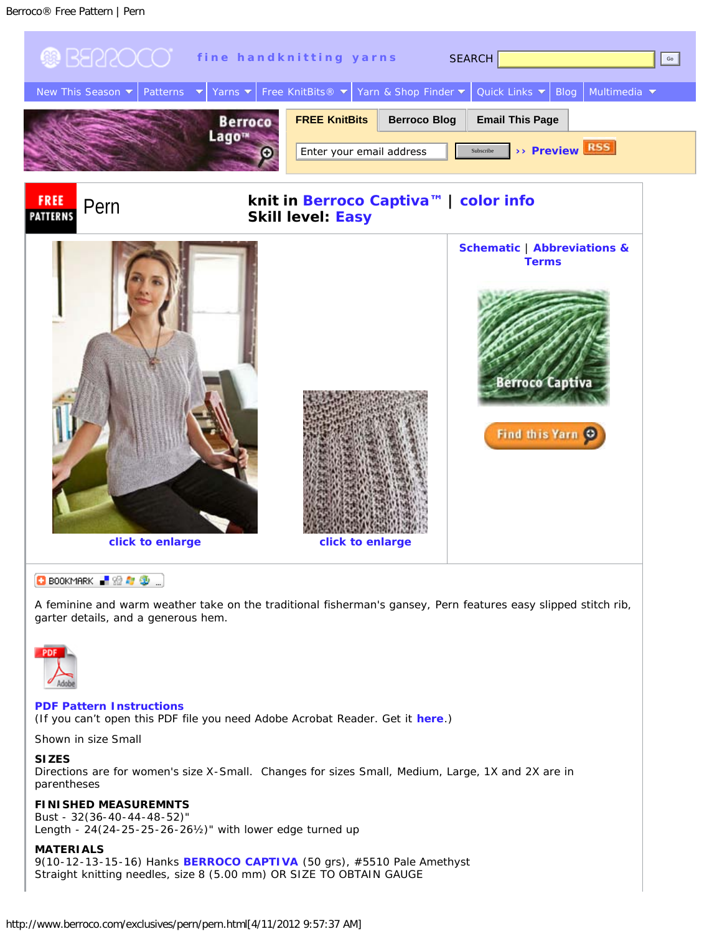<span id="page-0-1"></span>

**D** BOOKMARK ■ 金々の

A feminine and warm weather take on the traditional fisherman's gansey, Pern features easy slipped stitch rib, garter details, and a generous hem.



### **[PDF Pattern Instructions](http://www.berroco.com/exclusives/pern/pern.pdf)**

(If you can't open this PDF file you need Adobe Acrobat Reader. Get it **[here](http://www.adobe.com/products/acrobat/readstep2.html)**.)

Shown in size Small

**SIZES**

Directions are for women's size X-Small. Changes for sizes Small, Medium, Large, 1X and 2X are in parentheses

### **FINISHED MEASUREMNTS**

Bust - 32(36-40-44-48-52)" Length - 24(24-25-25-26-26½)" with lower edge turned up

# <span id="page-0-0"></span>**MATERIALS**

9(10-12-13-15-16) Hanks **[BERROCO CAPTIVA](http://www.berroco.com/shade_cards/captiva_sh.html)** (50 grs), #5510 Pale Amethyst Straight knitting needles, size 8 (5.00 mm) OR SIZE TO OBTAIN GAUGE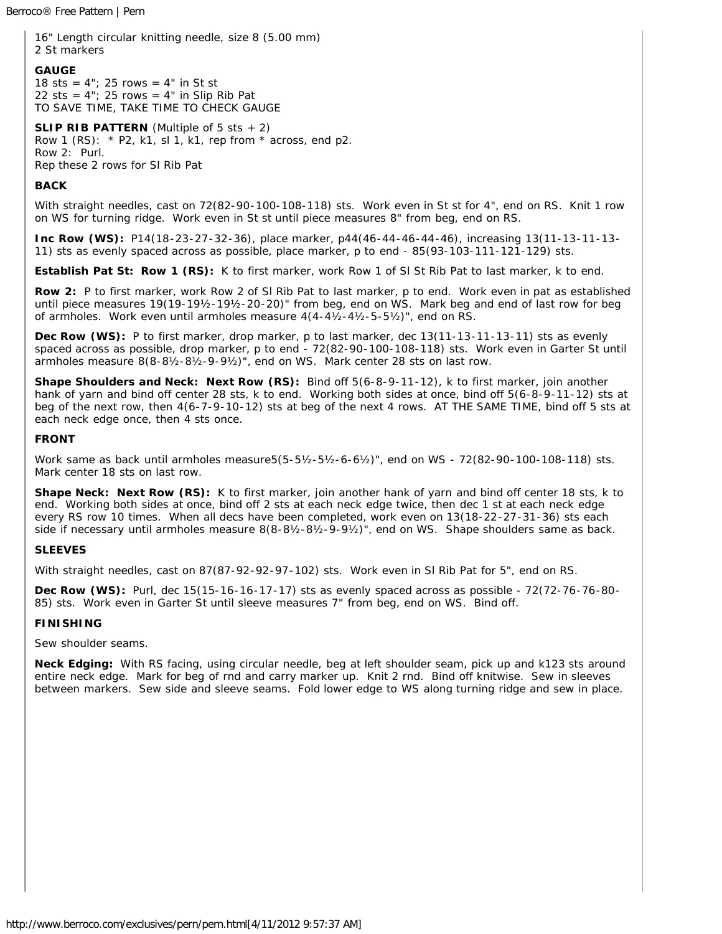Berroco® Free Pattern | Pern

16" Length circular knitting needle, size 8 (5.00 mm) 2 St markers

#### **GAUGE**

18 sts =  $4$ "; 25 rows =  $4$ " in St st 22 sts =  $4$ "; 25 rows =  $4$ " in Slip Rib Pat TO SAVE TIME, TAKE TIME TO CHECK GAUGE

**SLIP RIB PATTERN** (Multiple of 5 sts + 2) Row 1 (RS):  $*$  P2, k1, sl 1, k1, rep from  $*$  across, end p2. Row 2: Purl. Rep these 2 rows for Sl Rib Pat

# **BACK**

With straight needles, cast on 72(82-90-100-108-118) sts. Work even in St st for 4", end on RS. Knit 1 row on WS for turning ridge. Work even in St st until piece measures 8" from beg, end on RS.

**Inc Row (WS):** P14(18-23-27-32-36), place marker, p44(46-44-46-44-46), increasing 13(11-13-11-13- 11) sts as evenly spaced across as possible, place marker, p to end - 85(93-103-111-121-129) sts.

**Establish Pat St: Row 1 (RS):** K to first marker, work Row 1 of SI St Rib Pat to last marker, k to end.

**Row 2:** P to first marker, work Row 2 of Sl Rib Pat to last marker, p to end. Work even in pat as established until piece measures 19(19-19½-19½-20-20)" from beg, end on WS. Mark beg and end of last row for beg of armholes. Work even until armholes measure  $4(4-4\frac{1}{2}-4\frac{1}{2}-5\frac{1}{2})$ ", end on RS.

Dec Row (WS): P to first marker, drop marker, p to last marker, dec 13(11-13-11-13-11) sts as evenly spaced across as possible, drop marker, p to end - 72(82-90-100-108-118) sts. Work even in Garter St until armholes measure 8(8-8½-8½-9-9½)", end on WS. Mark center 28 sts on last row.

**Shape Shoulders and Neck: Next Row (RS):** Bind off 5(6-8-9-11-12), k to first marker, join another hank of yarn and bind off center 28 sts, k to end. Working both sides at once, bind off 5(6-8-9-11-12) sts at beg of the next row, then 4(6-7-9-10-12) sts at beg of the next 4 rows. AT THE SAME TIME, bind off 5 sts at each neck edge once, then 4 sts once.

### **FRONT**

Work same as back until armholes measure5(5-5½-5½-6-6½)", end on WS - 72(82-90-100-108-118) sts. Mark center 18 sts on last row.

**Shape Neck: Next Row (RS):** K to first marker, join another hank of yarn and bind off center 18 sts, k to end. Working both sides at once, bind off 2 sts at each neck edge twice, then dec 1 st at each neck edge every RS row 10 times. When all decs have been completed, work even on 13(18-22-27-31-36) sts each side if necessary until armholes measure 8(8-8½-8½-9-9½)", end on WS. Shape shoulders same as back.

# <span id="page-1-0"></span>**SLEEVES**

With straight needles, cast on 87(87-92-92-97-102) sts. Work even in Sl Rib Pat for 5", end on RS.

**Dec Row (WS):** Purl, dec 15(15-16-16-17-17) sts as evenly spaced across as possible - 72(72-76-76-80- 85) sts. Work even in Garter St until sleeve measures 7" from beg, end on WS. Bind off.

# **FINISHING**

Sew shoulder seams.

**Neck Edging:** With RS facing, using circular needle, beg at left shoulder seam, pick up and k123 sts around entire neck edge. Mark for beg of rnd and carry marker up. Knit 2 rnd. Bind off knitwise. Sew in sleeves between markers. Sew side and sleeve seams. Fold lower edge to WS along turning ridge and sew in place.